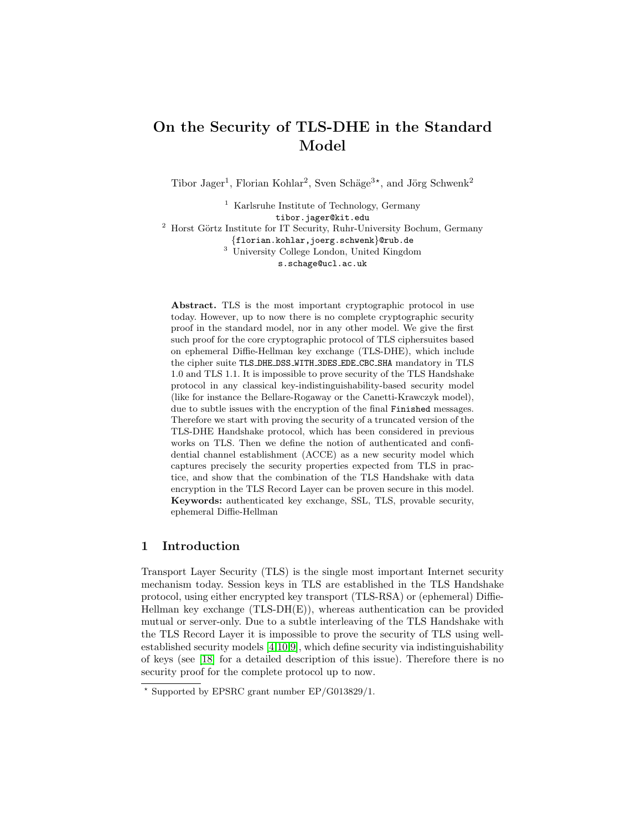# On the Security of TLS-DHE in the Standard Model

Tibor Jager<sup>1</sup>, Florian Kohlar<sup>2</sup>, Sven Schäge<sup>3\*</sup>, and Jörg Schwenk<sup>2</sup>

<sup>1</sup> Karlsruhe Institute of Technology, Germany tibor.jager@kit.edu  $2$  Horst Görtz Institute for IT Security, Ruhr-University Bochum, Germany {florian.kohlar,joerg.schwenk}@rub.de

<sup>3</sup> University College London, United Kingdom s.schage@ucl.ac.uk

Abstract. TLS is the most important cryptographic protocol in use today. However, up to now there is no complete cryptographic security proof in the standard model, nor in any other model. We give the first such proof for the core cryptographic protocol of TLS ciphersuites based on ephemeral Diffie-Hellman key exchange (TLS-DHE), which include the cipher suite TLS DHE DSS WITH 3DES EDE CBC SHA mandatory in TLS 1.0 and TLS 1.1. It is impossible to prove security of the TLS Handshake protocol in any classical key-indistinguishability-based security model (like for instance the Bellare-Rogaway or the Canetti-Krawczyk model), due to subtle issues with the encryption of the final Finished messages. Therefore we start with proving the security of a truncated version of the TLS-DHE Handshake protocol, which has been considered in previous works on TLS. Then we define the notion of authenticated and confidential channel establishment (ACCE) as a new security model which captures precisely the security properties expected from TLS in practice, and show that the combination of the TLS Handshake with data encryption in the TLS Record Layer can be proven secure in this model. Keywords: authenticated key exchange, SSL, TLS, provable security, ephemeral Diffie-Hellman

## 1 Introduction

Transport Layer Security (TLS) is the single most important Internet security mechanism today. Session keys in TLS are established in the TLS Handshake protocol, using either encrypted key transport (TLS-RSA) or (ephemeral) Diffie-Hellman key exchange (TLS-DH(E)), whereas authentication can be provided mutual or server-only. Due to a subtle interleaving of the TLS Handshake with the TLS Record Layer it is impossible to prove the security of TLS using wellestablished security models [\[4,](#page-19-0)[10](#page-19-1)[,9\]](#page-19-2), which define security via indistinguishability of keys (see [\[18\]](#page-20-0) for a detailed description of this issue). Therefore there is no security proof for the complete protocol up to now.

<sup>?</sup> Supported by EPSRC grant number EP/G013829/1.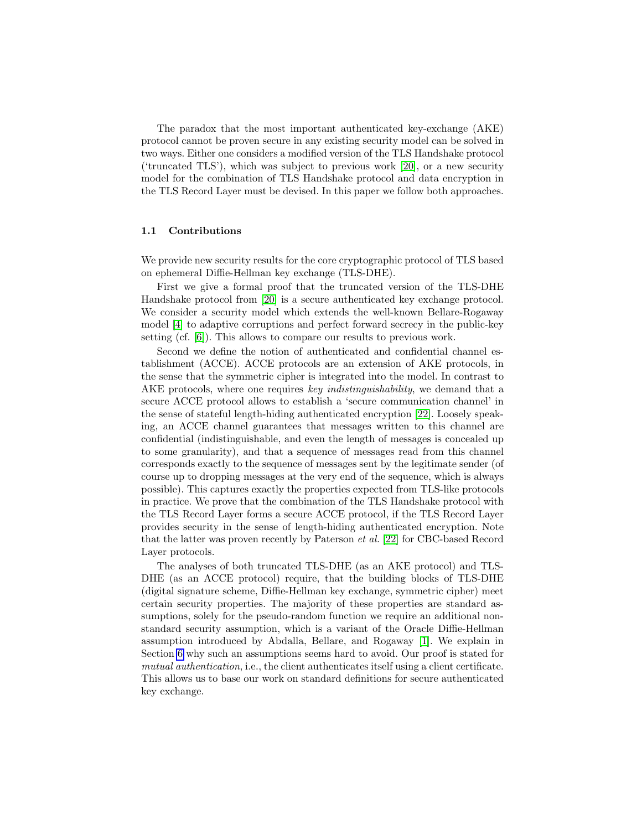The paradox that the most important authenticated key-exchange (AKE) protocol cannot be proven secure in any existing security model can be solved in two ways. Either one considers a modified version of the TLS Handshake protocol ('truncated TLS'), which was subject to previous work [\[20\]](#page-20-1), or a new security model for the combination of TLS Handshake protocol and data encryption in the TLS Record Layer must be devised. In this paper we follow both approaches.

#### 1.1 Contributions

We provide new security results for the core cryptographic protocol of TLS based on ephemeral Diffie-Hellman key exchange (TLS-DHE).

First we give a formal proof that the truncated version of the TLS-DHE Handshake protocol from [\[20\]](#page-20-1) is a secure authenticated key exchange protocol. We consider a security model which extends the well-known Bellare-Rogaway model [\[4\]](#page-19-0) to adaptive corruptions and perfect forward secrecy in the public-key setting (cf. [\[6\]](#page-19-3)). This allows to compare our results to previous work.

Second we define the notion of authenticated and confidential channel establishment (ACCE). ACCE protocols are an extension of AKE protocols, in the sense that the symmetric cipher is integrated into the model. In contrast to AKE protocols, where one requires key *indistinguishability*, we demand that a secure ACCE protocol allows to establish a 'secure communication channel' in the sense of stateful length-hiding authenticated encryption [\[22\]](#page-20-2). Loosely speaking, an ACCE channel guarantees that messages written to this channel are confidential (indistinguishable, and even the length of messages is concealed up to some granularity), and that a sequence of messages read from this channel corresponds exactly to the sequence of messages sent by the legitimate sender (of course up to dropping messages at the very end of the sequence, which is always possible). This captures exactly the properties expected from TLS-like protocols in practice. We prove that the combination of the TLS Handshake protocol with the TLS Record Layer forms a secure ACCE protocol, if the TLS Record Layer provides security in the sense of length-hiding authenticated encryption. Note that the latter was proven recently by Paterson et al. [\[22\]](#page-20-2) for CBC-based Record Layer protocols.

The analyses of both truncated TLS-DHE (as an AKE protocol) and TLS-DHE (as an ACCE protocol) require, that the building blocks of TLS-DHE (digital signature scheme, Diffie-Hellman key exchange, symmetric cipher) meet certain security properties. The majority of these properties are standard assumptions, solely for the pseudo-random function we require an additional nonstandard security assumption, which is a variant of the Oracle Diffie-Hellman assumption introduced by Abdalla, Bellare, and Rogaway [\[1\]](#page-19-4). We explain in Section [6](#page-17-0) why such an assumptions seems hard to avoid. Our proof is stated for mutual authentication, i.e., the client authenticates itself using a client certificate. This allows us to base our work on standard definitions for secure authenticated key exchange.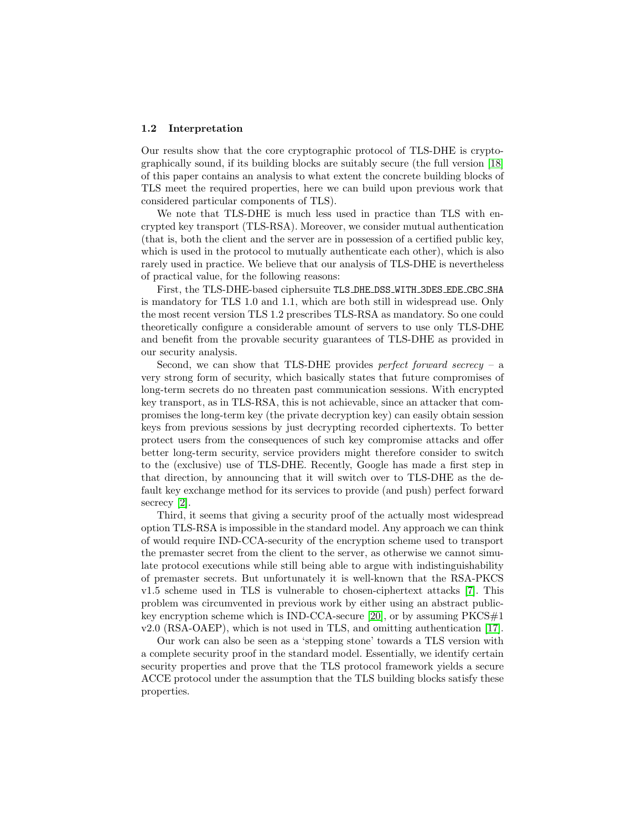#### 1.2 Interpretation

Our results show that the core cryptographic protocol of TLS-DHE is cryptographically sound, if its building blocks are suitably secure (the full version [\[18\]](#page-20-0) of this paper contains an analysis to what extent the concrete building blocks of TLS meet the required properties, here we can build upon previous work that considered particular components of TLS).

We note that TLS-DHE is much less used in practice than TLS with encrypted key transport (TLS-RSA). Moreover, we consider mutual authentication (that is, both the client and the server are in possession of a certified public key, which is used in the protocol to mutually authenticate each other), which is also rarely used in practice. We believe that our analysis of TLS-DHE is nevertheless of practical value, for the following reasons:

First, the TLS-DHE-based ciphersuite TLS DHE DSS WITH 3DES EDE CBC SHA is mandatory for TLS 1.0 and 1.1, which are both still in widespread use. Only the most recent version TLS 1.2 prescribes TLS-RSA as mandatory. So one could theoretically configure a considerable amount of servers to use only TLS-DHE and benefit from the provable security guarantees of TLS-DHE as provided in our security analysis.

Second, we can show that TLS-DHE provides *perfect forward secrecy* – a very strong form of security, which basically states that future compromises of long-term secrets do no threaten past communication sessions. With encrypted key transport, as in TLS-RSA, this is not achievable, since an attacker that compromises the long-term key (the private decryption key) can easily obtain session keys from previous sessions by just decrypting recorded ciphertexts. To better protect users from the consequences of such key compromise attacks and offer better long-term security, service providers might therefore consider to switch to the (exclusive) use of TLS-DHE. Recently, Google has made a first step in that direction, by announcing that it will switch over to TLS-DHE as the default key exchange method for its services to provide (and push) perfect forward secrecy [\[2\]](#page-19-5).

Third, it seems that giving a security proof of the actually most widespread option TLS-RSA is impossible in the standard model. Any approach we can think of would require IND-CCA-security of the encryption scheme used to transport the premaster secret from the client to the server, as otherwise we cannot simulate protocol executions while still being able to argue with indistinguishability of premaster secrets. But unfortunately it is well-known that the RSA-PKCS v1.5 scheme used in TLS is vulnerable to chosen-ciphertext attacks [\[7\]](#page-19-6). This problem was circumvented in previous work by either using an abstract public-key encryption scheme which is IND-CCA-secure [\[20\]](#page-20-1), or by assuming  $PKCS#1$ v2.0 (RSA-OAEP), which is not used in TLS, and omitting authentication [\[17\]](#page-20-3).

Our work can also be seen as a 'stepping stone' towards a TLS version with a complete security proof in the standard model. Essentially, we identify certain security properties and prove that the TLS protocol framework yields a secure ACCE protocol under the assumption that the TLS building blocks satisfy these properties.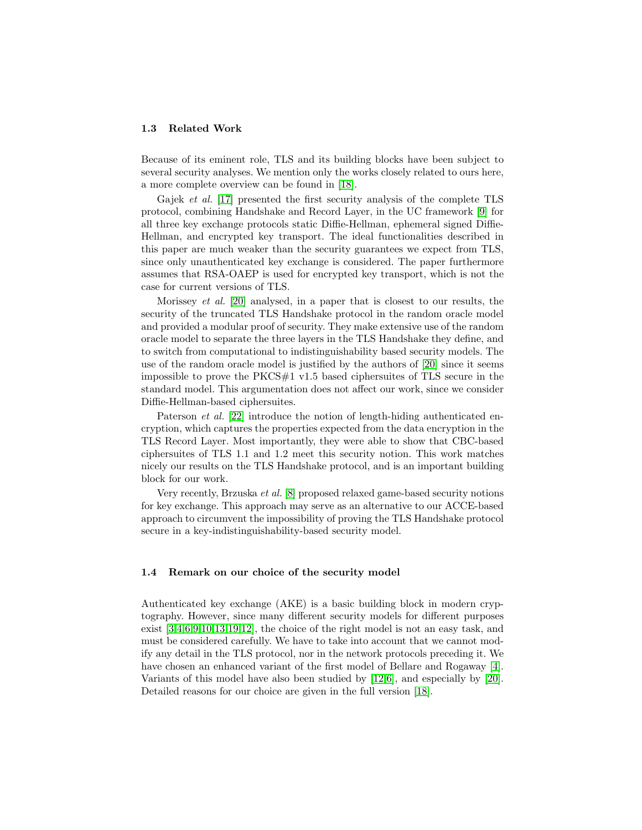#### 1.3 Related Work

Because of its eminent role, TLS and its building blocks have been subject to several security analyses. We mention only the works closely related to ours here, a more complete overview can be found in [\[18\]](#page-20-0).

Gajek et al. [\[17\]](#page-20-3) presented the first security analysis of the complete TLS protocol, combining Handshake and Record Layer, in the UC framework [\[9\]](#page-19-2) for all three key exchange protocols static Diffie-Hellman, ephemeral signed Diffie-Hellman, and encrypted key transport. The ideal functionalities described in this paper are much weaker than the security guarantees we expect from TLS, since only unauthenticated key exchange is considered. The paper furthermore assumes that RSA-OAEP is used for encrypted key transport, which is not the case for current versions of TLS.

Morissey et al. [\[20\]](#page-20-1) analysed, in a paper that is closest to our results, the security of the truncated TLS Handshake protocol in the random oracle model and provided a modular proof of security. They make extensive use of the random oracle model to separate the three layers in the TLS Handshake they define, and to switch from computational to indistinguishability based security models. The use of the random oracle model is justified by the authors of [\[20\]](#page-20-1) since it seems impossible to prove the PKCS#1 v1.5 based ciphersuites of TLS secure in the standard model. This argumentation does not affect our work, since we consider Diffie-Hellman-based ciphersuites.

Paterson *et al.* [\[22\]](#page-20-2) introduce the notion of length-hiding authenticated encryption, which captures the properties expected from the data encryption in the TLS Record Layer. Most importantly, they were able to show that CBC-based ciphersuites of TLS 1.1 and 1.2 meet this security notion. This work matches nicely our results on the TLS Handshake protocol, and is an important building block for our work.

Very recently, Brzuska et al. [\[8\]](#page-19-7) proposed relaxed game-based security notions for key exchange. This approach may serve as an alternative to our ACCE-based approach to circumvent the impossibility of proving the TLS Handshake protocol secure in a key-indistinguishability-based security model.

#### 1.4 Remark on our choice of the security model

Authenticated key exchange (AKE) is a basic building block in modern cryptography. However, since many different security models for different purposes exist [\[3,](#page-19-8)[4,](#page-19-0)[6](#page-19-3)[,9](#page-19-2)[,10,](#page-19-1)[13](#page-20-4)[,19](#page-20-5)[,12\]](#page-20-6), the choice of the right model is not an easy task, and must be considered carefully. We have to take into account that we cannot modify any detail in the TLS protocol, nor in the network protocols preceding it. We have chosen an enhanced variant of the first model of Bellare and Rogaway [\[4\]](#page-19-0). Variants of this model have also been studied by [\[12,](#page-20-6)[6\]](#page-19-3), and especially by [\[20\]](#page-20-1). Detailed reasons for our choice are given in the full version [\[18\]](#page-20-0).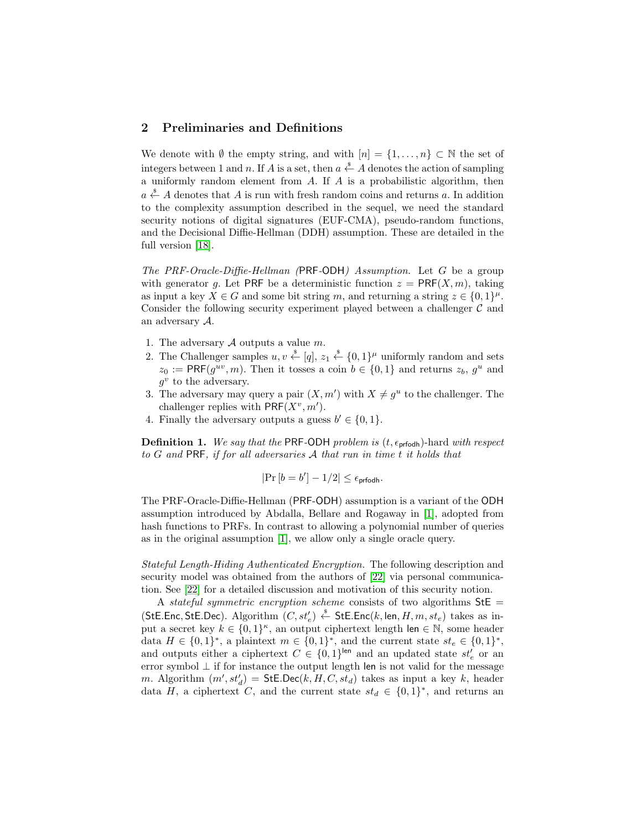# 2 Preliminaries and Definitions

We denote with  $\emptyset$  the empty string, and with  $[n] = \{1, \ldots, n\} \subset \mathbb{N}$  the set of integers between 1 and n. If A is a set, then  $a \stackrel{\hspace{0.1em}\mathsf{\scriptscriptstyle\$}}{\leftarrow} A$  denotes the action of sampling a uniformly random element from  $A$ . If  $A$  is a probabilistic algorithm, then  $a \stackrel{\hspace{0.1em}\mathsf{\scriptscriptstyle\$}}{\leftarrow} A$  denotes that A is run with fresh random coins and returns a. In addition to the complexity assumption described in the sequel, we need the standard security notions of digital signatures (EUF-CMA), pseudo-random functions, and the Decisional Diffie-Hellman (DDH) assumption. These are detailed in the full version [\[18\]](#page-20-0).

The PRF-Oracle-Diffie-Hellman (PRF-ODH) Assumption. Let G be a group with generator q. Let PRF be a deterministic function  $z = \text{PRF}(X, m)$ , taking as input a key  $X \in G$  and some bit string m, and returning a string  $z \in \{0,1\}^{\mu}$ . Consider the following security experiment played between a challenger  $\mathcal C$  and an adversary A.

- 1. The adversary  $A$  outputs a value  $m$ .
- 2. The Challenger samples  $u, v \stackrel{\$}{\leftarrow} [q], z_1 \stackrel{\$}{\leftarrow} \{0,1\}^{\mu}$  uniformly random and sets  $z_0 := \text{PRF}(g^{uv}, m)$ . Then it tosses a coin  $b \in \{0, 1\}$  and returns  $z_b, g^u$  and  $g^v$  to the adversary.
- 3. The adversary may query a pair  $(X, m')$  with  $X \neq g^u$  to the challenger. The challenger replies with  $PRF(X^v, m')$ .
- 4. Finally the adversary outputs a guess  $b' \in \{0, 1\}.$

**Definition 1.** We say that the PRF-ODH problem is  $(t, \epsilon_{\text{prfodh}})$ -hard with respect to G and PRF, if for all adversaries A that run in time t it holds that

$$
|\Pr[b = b'] - 1/2| \leq \epsilon_{\text{prfodh}}.
$$

The PRF-Oracle-Diffie-Hellman (PRF-ODH) assumption is a variant of the ODH assumption introduced by Abdalla, Bellare and Rogaway in [\[1\]](#page-19-4), adopted from hash functions to PRFs. In contrast to allowing a polynomial number of queries as in the original assumption [\[1\]](#page-19-4), we allow only a single oracle query.

Stateful Length-Hiding Authenticated Encryption. The following description and security model was obtained from the authors of [\[22\]](#page-20-2) via personal communication. See [\[22\]](#page-20-2) for a detailed discussion and motivation of this security notion.

A stateful symmetric encryption scheme consists of two algorithms  $StE =$ (StE.Enc, StE.Dec). Algorithm  $(C, st'_e) \stackrel{\hspace{0.1em}\mathsf{\scriptscriptstyle\$}}{\leftarrow}$  StE.Enc $(k, \mathsf{len}, H, m, st_e)$  takes as input a secret key  $k \in \{0,1\}^{\kappa}$ , an output ciphertext length len  $\in \mathbb{N}$ , some header data  $H \in \{0,1\}^*$ , a plaintext  $m \in \{0,1\}^*$ , and the current state  $st_e \in \{0,1\}^*$ , and outputs either a ciphertext  $C \in \{0,1\}^{\text{len}}$  and an updated state  $st_e'$  or an error symbol ⊥ if for instance the output length len is not valid for the message m. Algorithm  $(m', st'_d) =$  StE.Dec(k, H, C, st<sub>d</sub>) takes as input a key k, header data H, a ciphertext C, and the current state  $st_d \in \{0,1\}^*$ , and returns an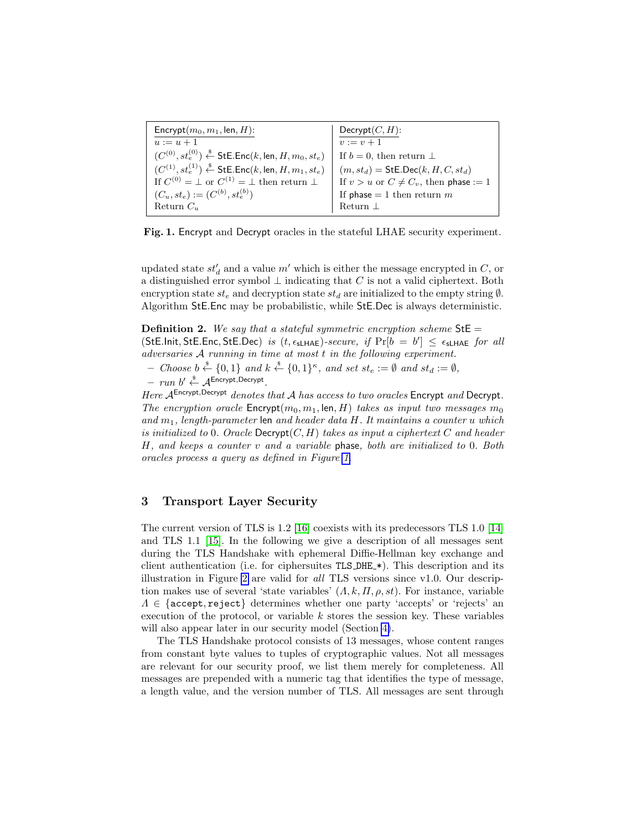| Encrypt $(m_0, m_1, len, H)$ :                                                                                                                     | $\mathsf{Decrypt}(C, H)$ :                       |
|----------------------------------------------------------------------------------------------------------------------------------------------------|--------------------------------------------------|
| $u := u + 1$                                                                                                                                       | $v:=v+1$                                         |
| $(C^{(0)}, st_e^{(0)}) \overset{\hspace{0.1em}\mathsf{\scriptscriptstyle\$}}{\leftarrow} \mathsf{StE}.\mathsf{Enc}(k, \mathsf{len}, H, m_0, st_e)$ | If $b = 0$ , then return $\perp$                 |
| $(C^{(1)}, st_e^{(1)}) \overset{\$}{\leftarrow}$ StE.Enc $(k, \text{len}, H, m_1, st_e)$                                                           | $(m, st_d) =$ StE.Dec(k, H, C, st <sub>d</sub> ) |
| If $C^{(0)} = \perp$ or $C^{(1)} = \perp$ then return $\perp$                                                                                      | If $v > u$ or $C \neq C_v$ , then phase := 1     |
| $(C_u, st_e) := (C^{(b)}, st_e^{(b)})$                                                                                                             | If phase = 1 then return $m$                     |
| Return $C_u$                                                                                                                                       | Return $\perp$                                   |

<span id="page-5-0"></span>Fig. 1. Encrypt and Decrypt oracles in the stateful LHAE security experiment.

updated state  $st_d'$  and a value  $m'$  which is either the message encrypted in  $C$ , or a distinguished error symbol  $\perp$  indicating that C is not a valid ciphertext. Both encryption state  $st_e$  and decryption state  $st_d$  are initialized to the empty string  $\emptyset$ . Algorithm StE.Enc may be probabilistic, while StE.Dec is always deterministic.

<span id="page-5-2"></span>**Definition 2.** We say that a stateful symmetric encryption scheme  $StE =$  $(StEInit, SteE.Enc, SteE.Dec)$  is  $(t, \epsilon_{sLHAE})$ -secure, if  $Pr[b = b'] \leq \epsilon_{sLHAE}$  for all adversaries A running in time at most t in the following experiment.

 $-$  Choose  $b \stackrel{\$}{\leftarrow} \{0,1\}$  and  $k \stackrel{\$}{\leftarrow} \{0,1\}^{\kappa}$ , and set  $st_e := \emptyset$  and  $st_d := \emptyset$ ,  $run b' \overset{\$}{\leftarrow} \mathcal{A}^{\mathsf{Encrypt},\mathsf{Decrypt}}.$ 

Here A<sup>Encrypt, Decrypt</sup> denotes that A has access to two oracles Encrypt and Decrypt. The encryption oracle  $\mathsf{Encrypt}(m_0, m_1, \mathsf{len}, H)$  takes as input two messages  $m_0$ and  $m_1$ , length-parameter len and header data H. It maintains a counter u which is initialized to 0. Oracle Decrypt $(C, H)$  takes as input a ciphertext C and header H, and keeps a counter v and a variable phase, both are initialized to 0. Both oracles process a query as defined in Figure [1.](#page-5-0)

# <span id="page-5-1"></span>3 Transport Layer Security

The current version of TLS is 1.2 [\[16\]](#page-20-7) coexists with its predecessors TLS 1.0 [\[14\]](#page-20-8) and TLS 1.1 [\[15\]](#page-20-9). In the following we give a description of all messages sent during the TLS Handshake with ephemeral Diffie-Hellman key exchange and client authentication (i.e. for ciphersuites TLS DHE \*). This description and its illustration in Figure [2](#page-6-0) are valid for all TLS versions since v1.0. Our description makes use of several 'state variables'  $(A, k, \Pi, \rho, st)$ . For instance, variable  $\Lambda \in \{\text{accept}, \text{reject}\}\$  determines whether one party 'accepts' or 'rejects' an execution of the protocol, or variable  $k$  stores the session key. These variables will also appear later in our security model (Section [4\)](#page-8-0).

The TLS Handshake protocol consists of 13 messages, whose content ranges from constant byte values to tuples of cryptographic values. Not all messages are relevant for our security proof, we list them merely for completeness. All messages are prepended with a numeric tag that identifies the type of message, a length value, and the version number of TLS. All messages are sent through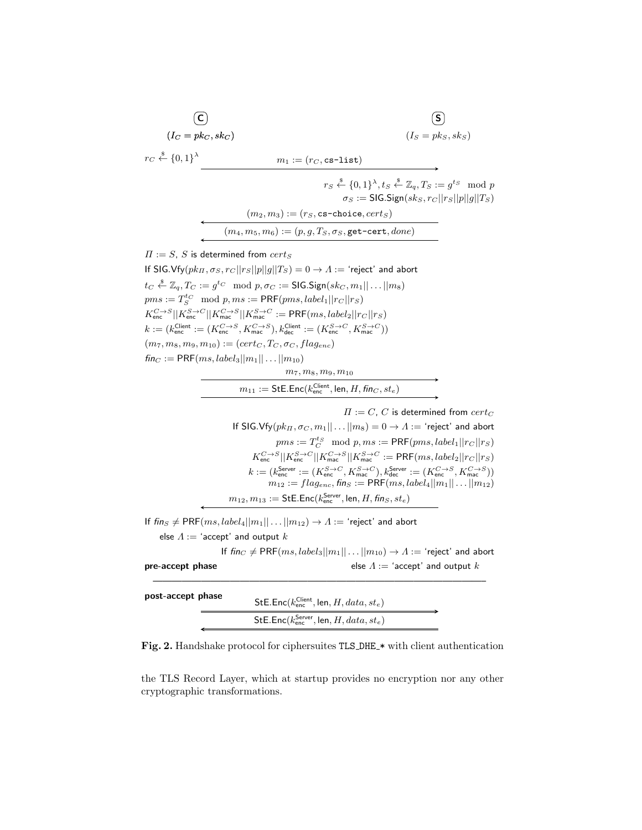$$
\begin{array}{ccc}\n\textcircled{c} & & \textcircled{S} \\
(I_C = pk_C, sk_C) & & & & (I_S = pk_S, sk_S) \\
rc \stackrel{\textcircled{e}}{\leftarrow} \{0, 1\}^\lambda & & m_1 := (r_C, \text{cs-list})\n\end{array}
$$

 $r_S \stackrel{\$}{\leftarrow} \{0,1\}^{\lambda}, t_S \stackrel{\$}{\leftarrow} \mathbb{Z}_q, T_S := g^{t_S} \mod p$  $\sigma_S := \mathsf{SIG}.Sign(sk_S, r_C || r_S || p || g || T_S)$ 

| $(m_2, m_3) := (r_S, \texttt{cs-choice}, cert_S)$                   |  |
|---------------------------------------------------------------------|--|
| $(m_4, m_5, m_6) := (p, g, T_S, \sigma_S, \texttt{get-cert}, done)$ |  |

 $\Pi := S$ , S is determined from certs

If SIG.Vfy $(pk_H, \sigma_S, rc||rs||p||g||Ts) = 0 \rightarrow A := 'reject'$  and abort  $t_C \stackrel{\hspace{0.1em}\mathsf{\scriptscriptstyle\$}}{\leftarrow} \mathbb{Z}_q, T_C := g^{t_C} \mod p, \sigma_C := \mathsf{SIG}.{\sf Sign}(sk_C, m_1 || \dots || m_8)$  $pms := T_S^{t_C} \mod p, ms := \mathsf{PRF}(pms, label_1 || r_C || r_S)$  $K_{\text{enc}}^{C \rightarrow S}||K_{\text{enc}}^{S \rightarrow C}||K_{\text{mac}}^{C \rightarrow S}||K_{\text{mac}}^{S \rightarrow C} := \textsf{PRF}(ms, label_2||rc||rs)$  $k := (k^{\text{Client}}_{\text{enc}} := (K^{{C \rightarrow S}}_{\text{enc}}, K^{{C \rightarrow S}}_{\text{mac}}), k^{\text{Client}}_{\text{dec}} := (K^{{S \rightarrow C}}_{\text{enc}}, K^{{S \rightarrow C}}_{\text{mac}}))$  $(m_7, m_8, m_9, m_{10}) := (cert_C, T_C, \sigma_C, flag_{enc})$  $f_{nc} := PRF(ms, label_3||m_1||...||m_{10})$ 

| $m_7, m_8, m_9, m_{10}$ |  |
|-------------------------|--|
|                         |  |

| $m_{11} := \mathsf{StE}.\mathsf{Enc}(k_{\mathsf{enc}}^\mathsf{Client}, \mathsf{len}, H, \mathit{fin}_C, st_e)$ |  |
|----------------------------------------------------------------------------------------------------------------|--|
|                                                                                                                |  |

 $\Pi := C, C$  is determined from  $cert_C$ 

If SIG.Vfy $(pk_H, \sigma_C, m_1 || \dots || m_8) = 0 \rightarrow A :=$  'reject' and abort  $pms := T_C^{ts} \mod p, ms := \mathsf{PRF}(pms, label_1 || rc||rs)$  $K_{\texttt{enc}}^{C \to S}||K_{\texttt{enc}}^{S \to C}||K_{\texttt{mac}}^{C \to S}||K_{\texttt{mac}}^{S \to C} := \textsf{PRF}(ms, label_2||rc||rs)$  $k := (k^{\text{Server}}_{\text{enc}} := (K^{{S \rightarrow C}}_{\text{enc}}, K^{{S \rightarrow C}}_{\text{mac}}), k^{\text{Server}}_{\text{dec}} := (K^{{C \rightarrow S}}_{\text{enc}}, K^{{C \rightarrow S}}_{\text{mac}}))$  $m_{12} := flag_{enc}, \text{fin}_S := \text{PRF}(ms, label_4 || m_1 || \dots || m_{12})$  $m_{12}, m_{13} := \mathsf{StE}.\mathsf{Enc}(k_{\mathsf{enc}}^{\mathsf{Server}},\mathsf{len},H,\mathsf{fin}_S,\mathsf{st}_e)$ 

If  $fing \neq \text{PRF}(ms, label_4||m_1|| \dots ||m_{12}) \rightarrow A :=$  'reject' and abort

else  $\Lambda := '$ accept' and output  $k$ 

If  $\mathit{fin}_C \neq \mathsf{PRF}(ms, label_3||m_1|| \dots || m_{10}) \rightarrow A := \text{ 'reject' and abort }$ **pre-accept phase**  $\blacksquare$  **else**  $\Lambda := \text{`accept'}$  and output  $k$ 

——————————————————————————————————–

| post-accept phase | StE.Enc( $k_{\text{enc}}^{\text{Client}}, \text{len}, H, data, st_e$ ) |
|-------------------|------------------------------------------------------------------------|
|                   | StE.Enc( $k_{\text{enc}}^{\text{Server}}, \text{len}, H, data, st_e$ ) |

<span id="page-6-0"></span>Fig. 2. Handshake protocol for ciphersuites TLS DHE \* with client authentication

the TLS Record Layer, which at startup provides no encryption nor any other cryptographic transformations.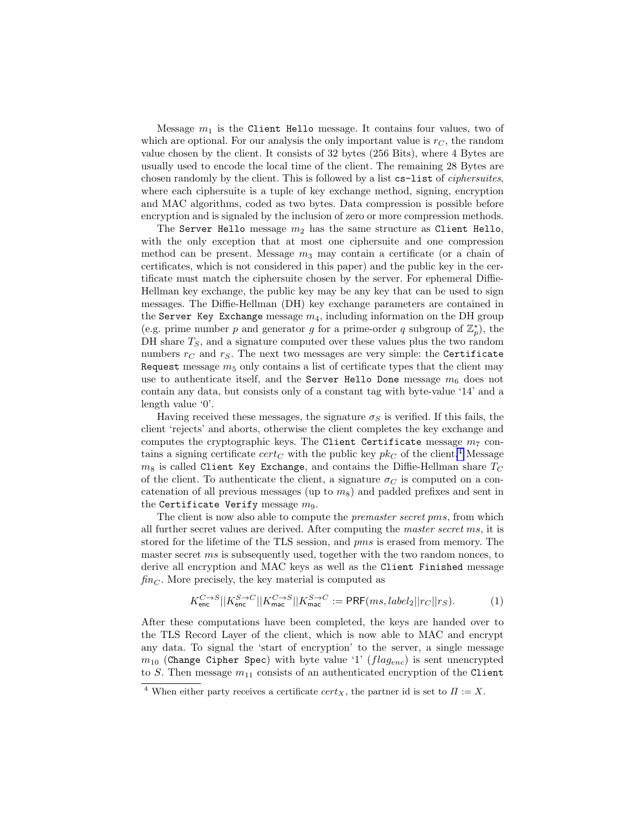Message  $m_1$  is the Client Hello message. It contains four values, two of which are optional. For our analysis the only important value is  $r<sub>C</sub>$ , the random value chosen by the client. It consists of 32 bytes (256 Bits), where 4 Bytes are usually used to encode the local time of the client. The remaining 28 Bytes are chosen randomly by the client. This is followed by a list  $cs$ -list of *ciphersuites*, where each ciphersuite is a tuple of key exchange method, signing, encryption and MAC algorithms, coded as two bytes. Data compression is possible before encryption and is signaled by the inclusion of zero or more compression methods.

The Server Hello message  $m_2$  has the same structure as Client Hello, with the only exception that at most one ciphersuite and one compression method can be present. Message  $m_3$  may contain a certificate (or a chain of certificates, which is not considered in this paper) and the public key in the certificate must match the ciphersuite chosen by the server. For ephemeral Diffie-Hellman key exchange, the public key may be any key that can be used to sign messages. The Diffie-Hellman (DH) key exchange parameters are contained in the Server Key Exchange message  $m_4$ , including information on the DH group (e.g. prime number p and generator g for a prime-order q subgroup of  $\mathbb{Z}_p^*$ ), the DH share  $T<sub>S</sub>$ , and a signature computed over these values plus the two random numbers  $r<sub>C</sub>$  and  $r<sub>S</sub>$ . The next two messages are very simple: the Certificate Request message  $m_5$  only contains a list of certificate types that the client may use to authenticate itself, and the Server Hello Done message  $m_6$  does not contain any data, but consists only of a constant tag with byte-value '14' and a length value '0'.

Having received these messages, the signature  $\sigma_S$  is verified. If this fails, the client 'rejects' and aborts, otherwise the client completes the key exchange and computes the cryptographic keys. The Client Certificate message  $m<sub>7</sub>$  contains a signing certificate  $cert_C$  with the public key  $pk_C$  of the client.<sup>[4](#page-7-0)</sup> Message  $m_8$  is called Client Key Exchange, and contains the Diffie-Hellman share  $T_C$ of the client. To authenticate the client, a signature  $\sigma_C$  is computed on a concatenation of all previous messages (up to  $m_8$ ) and padded prefixes and sent in the Certificate Verify message  $m_9$ .

The client is now also able to compute the *premaster secret pms*, from which all further secret values are derived. After computing the master secret ms, it is stored for the lifetime of the TLS session, and  $pms$  is erased from memory. The master secret ms is subsequently used, together with the two random nonces, to derive all encryption and MAC keys as well as the Client Finished message  $\mathit{fin}_C$ . More precisely, the key material is computed as

<span id="page-7-1"></span>
$$
K_{\text{enc}}^{C \to S} || K_{\text{enc}}^{S \to C} || K_{\text{mac}}^{C \to S} || K_{\text{mac}}^{S \to C} := \text{PRF}(ms, label_2 || r_C || r_S). \tag{1}
$$

After these computations have been completed, the keys are handed over to the TLS Record Layer of the client, which is now able to MAC and encrypt any data. To signal the 'start of encryption' to the server, a single message  $m_{10}$  (Change Cipher Spec) with byte value '1' ( $flag_{enc}$ ) is sent unencrypted to S. Then message  $m_{11}$  consists of an authenticated encryption of the Client

<span id="page-7-0"></span><sup>&</sup>lt;sup>4</sup> When either party receives a certificate  $cert_X$ , the partner id is set to  $\Pi := X$ .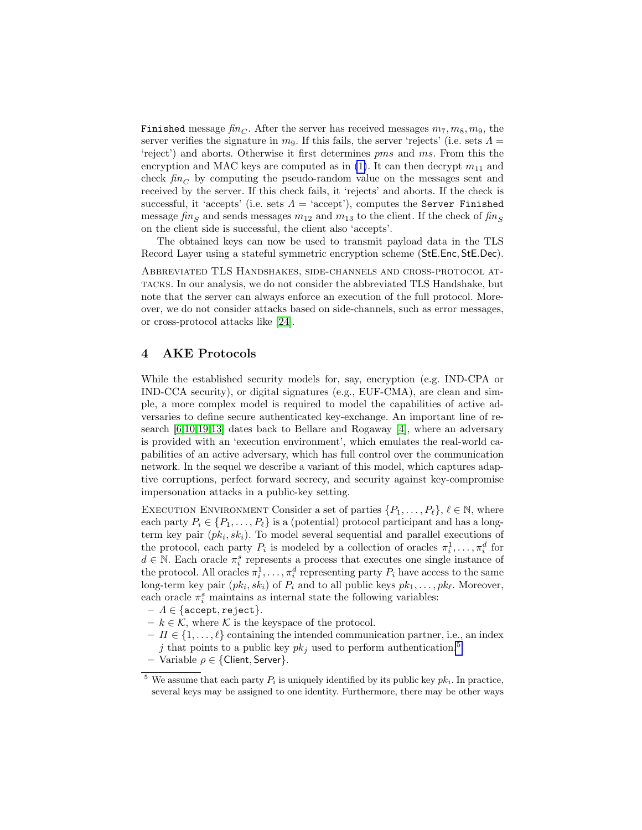**Finished** message  $\hat{m}_C$ . After the server has received messages  $m_7, m_8, m_9$ , the server verifies the signature in  $m_9$ . If this fails, the server 'rejects' (i.e. sets  $\Lambda =$ 'reject') and aborts. Otherwise it first determines pms and ms. From this the encryption and MAC keys are computed as in  $(1)$ . It can then decrypt  $m_{11}$  and check  $\mathit{fin}_C$  by computing the pseudo-random value on the messages sent and received by the server. If this check fails, it 'rejects' and aborts. If the check is successful, it 'accepts' (i.e. sets  $\Lambda$  = 'accept'), computes the Server Finished message  $f\!in_S$  and sends messages  $m_{12}$  and  $m_{13}$  to the client. If the check of  $f\!in_S$ on the client side is successful, the client also 'accepts'.

The obtained keys can now be used to transmit payload data in the TLS Record Layer using a stateful symmetric encryption scheme (StE.Enc, StE.Dec).

Abbreviated TLS Handshakes, side-channels and cross-protocol attacks. In our analysis, we do not consider the abbreviated TLS Handshake, but note that the server can always enforce an execution of the full protocol. Moreover, we do not consider attacks based on side-channels, such as error messages, or cross-protocol attacks like [\[24\]](#page-20-10).

## <span id="page-8-0"></span>4 AKE Protocols

While the established security models for, say, encryption (e.g. IND-CPA or IND-CCA security), or digital signatures (e.g., EUF-CMA), are clean and simple, a more complex model is required to model the capabilities of active adversaries to define secure authenticated key-exchange. An important line of research [\[6](#page-19-3)[,10,](#page-19-1)[19,](#page-20-5)[13\]](#page-20-4) dates back to Bellare and Rogaway [\[4\]](#page-19-0), where an adversary is provided with an 'execution environment', which emulates the real-world capabilities of an active adversary, which has full control over the communication network. In the sequel we describe a variant of this model, which captures adaptive corruptions, perfect forward secrecy, and security against key-compromise impersonation attacks in a public-key setting.

EXECUTION ENVIRONMENT Consider a set of parties  $\{P_1, \ldots, P_\ell\}, \ell \in \mathbb{N}$ , where each party  $P_i \in \{P_1, \ldots, P_\ell\}$  is a (potential) protocol participant and has a longterm key pair  $(pk_i, sk_i)$ . To model several sequential and parallel executions of the protocol, each party  $P_i$  is modeled by a collection of oracles  $\pi_i^1, \ldots, \pi_i^d$  for  $d \in \mathbb{N}$ . Each oracle  $\pi_i^s$  represents a process that executes one single instance of the protocol. All oracles  $\pi_i^1, \ldots, \pi_i^d$  representing party  $P_i$  have access to the same long-term key pair  $(pk_i, sk_i)$  of  $P_i$  and to all public keys  $pk_1, \ldots, pk_\ell$ . Moreover, each oracle  $\pi_i^s$  maintains as internal state the following variables:

- $A \in \{ \text{accept}, \text{reject} \}.$
- $k \in \mathcal{K}$ , where  $\mathcal K$  is the keyspace of the protocol.
- $-I \in \{1,\ldots,\ell\}$  containing the intended communication partner, i.e., an index j that points to a public key  $pk_j$  used to perform authentication.<sup>[5](#page-8-1)</sup>
- $-$  Variable  $\rho \in \{$  Client, Server $\}.$

<span id="page-8-1"></span><sup>&</sup>lt;sup>5</sup> We assume that each party  $P_i$  is uniquely identified by its public key  $pk_i$ . In practice, several keys may be assigned to one identity. Furthermore, there may be other ways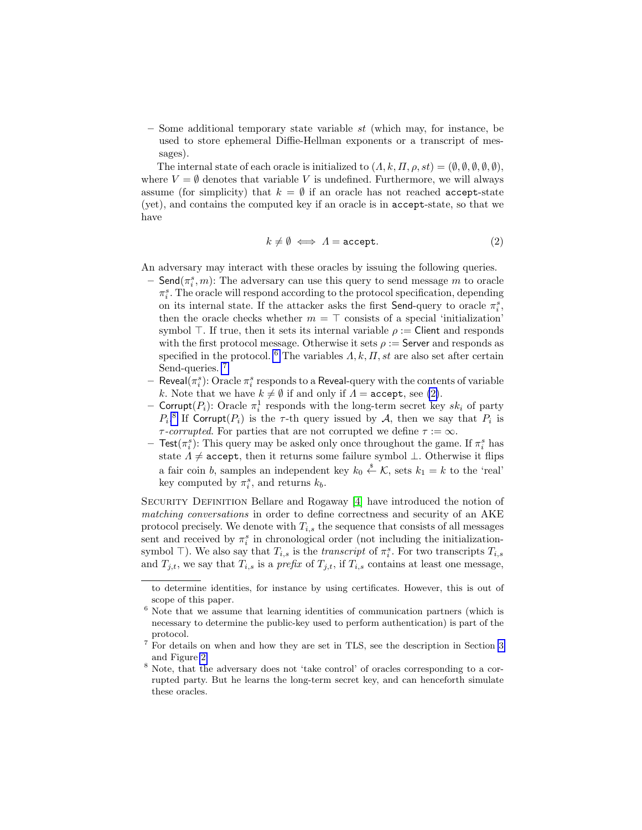– Some additional temporary state variable st (which may, for instance, be used to store ephemeral Diffie-Hellman exponents or a transcript of messages).

The internal state of each oracle is initialized to  $(\Lambda, k, \Pi, \rho, st) = (\emptyset, \emptyset, \emptyset, \emptyset, \emptyset)$ , where  $V = \emptyset$  denotes that variable V is undefined. Furthermore, we will always assume (for simplicity) that  $k = \emptyset$  if an oracle has not reached accept-state (yet), and contains the computed key if an oracle is in accept-state, so that we have

<span id="page-9-2"></span>
$$
k \neq \emptyset \iff \Lambda = \text{accept.} \tag{2}
$$

An adversary may interact with these oracles by issuing the following queries.

- $-$  Send $(\pi_i^s, m)$ : The adversary can use this query to send message m to oracle  $\pi_i^s$ . The oracle will respond according to the protocol specification, depending on its internal state. If the attacker asks the first Send-query to oracle  $\pi_i^s$ , then the oracle checks whether  $m = \top$  consists of a special 'initialization' symbol  $\top$ . If true, then it sets its internal variable  $\rho :=$  Client and responds with the first protocol message. Otherwise it sets  $\rho :=$  Server and responds as specified in the protocol. <sup>[6](#page-9-0)</sup> The variables  $\Lambda, k, \Pi, st$  are also set after certain Send-queries.<sup>[7](#page-9-1)</sup>
- $-$  Reveal $(\pi_i^s)$ : Oracle  $\pi_i^s$  responds to a Reveal-query with the contents of variable k. Note that we have  $k \neq \emptyset$  if and only if  $\Lambda =$  accept, see [\(2\)](#page-9-2).
- Corrupt $(P_i)$ : Oracle  $\pi_i^1$  responds with the long-term secret key  $sk_i$  of party  $P_i$ <sup>[8](#page-9-3)</sup> If Corrupt $(P_i)$  is the  $\tau$ -th query issued by A, then we say that  $P_i$  is  $\tau$ -corrupted. For parties that are not corrupted we define  $\tau := \infty$ .
- $\text{Test}(\pi_i^s)$ : This query may be asked only once throughout the game. If  $\pi_i^s$  has state  $\Lambda \neq$  accept, then it returns some failure symbol  $\bot$ . Otherwise it flips a fair coin b, samples an independent key  $k_0 \stackrel{s}{\leftarrow} \mathcal{K}$ , sets  $k_1 = k$  to the 'real' key computed by  $\pi_i^s$ , and returns  $k_b$ .

SECURITY DEFINITION Bellare and Rogaway [\[4\]](#page-19-0) have introduced the notion of matching conversations in order to define correctness and security of an AKE protocol precisely. We denote with  $T_{i,s}$  the sequence that consists of all messages sent and received by  $\pi_i^s$  in chronological order (not including the initializationsymbol  $\top$ ). We also say that  $T_{i,s}$  is the *transcript* of  $\pi_i^s$ . For two transcripts  $T_{i,s}$ and  $T_{j,t}$ , we say that  $T_{i,s}$  is a *prefix* of  $T_{j,t}$ , if  $T_{i,s}$  contains at least one message,

to determine identities, for instance by using certificates. However, this is out of scope of this paper.

<span id="page-9-0"></span> $6$  Note that we assume that learning identities of communication partners (which is necessary to determine the public-key used to perform authentication) is part of the protocol.

<span id="page-9-1"></span><sup>7</sup> For details on when and how they are set in TLS, see the description in Section [3](#page-5-1) and Figure [2.](#page-6-0)

<span id="page-9-3"></span><sup>8</sup> Note, that the adversary does not 'take control' of oracles corresponding to a corrupted party. But he learns the long-term secret key, and can henceforth simulate these oracles.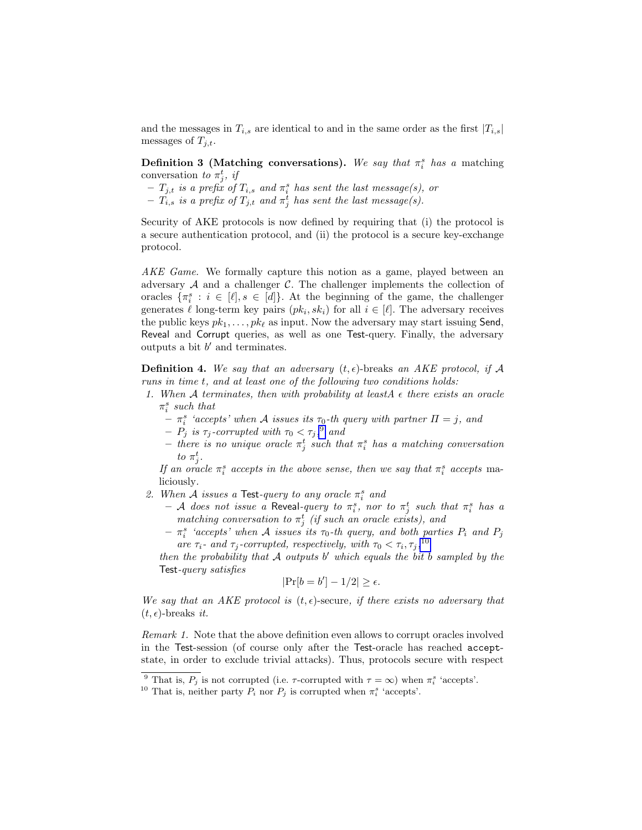and the messages in  $T_{i,s}$  are identical to and in the same order as the first  $|T_{i,s}|$ messages of  $T_{j,t}$ .

Definition 3 (Matching conversations). We say that  $\pi_i^s$  has a matching conversation to  $\pi_j^t$ , if

- $T_{j,t}$  is a prefix of  $T_{i,s}$  and  $\pi_i^s$  has sent the last message(s), or
- $T_{i,s}$  is a prefix of  $T_{j,t}$  and  $\pi_j^t$  has sent the last message(s).

Security of AKE protocols is now defined by requiring that (i) the protocol is a secure authentication protocol, and (ii) the protocol is a secure key-exchange protocol.

AKE Game. We formally capture this notion as a game, played between an adversary  $A$  and a challenger  $C$ . The challenger implements the collection of oracles  $\{\pi_i^s : i \in [\ell], s \in [d]\}$ . At the beginning of the game, the challenger generates  $\ell$  long-term key pairs  $(pk_i, sk_i)$  for all  $i \in [\ell]$ . The adversary receives the public keys  $pk_1, \ldots, pk_\ell$  as input. Now the adversary may start issuing Send, Reveal and Corrupt queries, as well as one Test-query. Finally, the adversary outputs a bit  $b'$  and terminates.

<span id="page-10-2"></span>**Definition 4.** We say that an adversary  $(t, \epsilon)$ -breaks an AKE protocol, if A runs in time t, and at least one of the following two conditions holds:

- 1. When A terminates, then with probability at least  $A \epsilon$  there exists an oracle  $\pi_i^s$  such that
	- $-\pi_i^s$  'accepts' when A issues its  $\tau_0$ -th query with partner  $\Pi = j$ , and
	- $P_j$  is  $\tau_j$ -corrupted with  $\tau_0 < \tau_j$ , <sup>[9](#page-10-0)</sup> and
	- $-$  there is no unique oracle  $\pi_j^t$  such that  $\pi_i^s$  has a matching conversation to  $\pi_j^t$ .

If an oracle  $\pi_i^s$  accepts in the above sense, then we say that  $\pi_i^s$  accepts maliciously.

- 2. When A issues a Test-query to any oracle  $\pi_i^s$  and
	- $-$  A does not issue a Reveal-query to  $\pi_i^s$ , nor to  $\pi_j^t$  such that  $\pi_i^s$  has a matching conversation to  $\pi_j^t$  (if such an oracle exists), and
	- $-\pi_i^s$  'accepts' when A issues its  $\tau_0$ -th query, and both parties  $P_i$  and  $P_j$ are  $\tau_i$ - and  $\tau_j$ -corrupted, respectively, with  $\tau_0 < \tau_i, \tau_j,$ <sup>[10](#page-10-1)</sup>

then the probability that  $A$  outputs  $b'$  which equals the bit  $b$  sampled by the Test-query satisfies

$$
|\Pr[b = b'] - 1/2| \ge \epsilon.
$$

We say that an AKE protocol is  $(t, \epsilon)$ -secure, if there exists no adversary that  $(t, \epsilon)$ -breaks it.

Remark 1. Note that the above definition even allows to corrupt oracles involved in the Test-session (of course only after the Test-oracle has reached acceptstate, in order to exclude trivial attacks). Thus, protocols secure with respect

<span id="page-10-0"></span><sup>&</sup>lt;sup>9</sup> That is,  $P_j$  is not corrupted (i.e.  $\tau$ -corrupted with  $\tau = \infty$ ) when  $\pi_i^s$  'accepts'.

<span id="page-10-1"></span><sup>&</sup>lt;sup>10</sup> That is, neither party  $P_i$  nor  $P_j$  is corrupted when  $\pi_i^s$  'accepts'.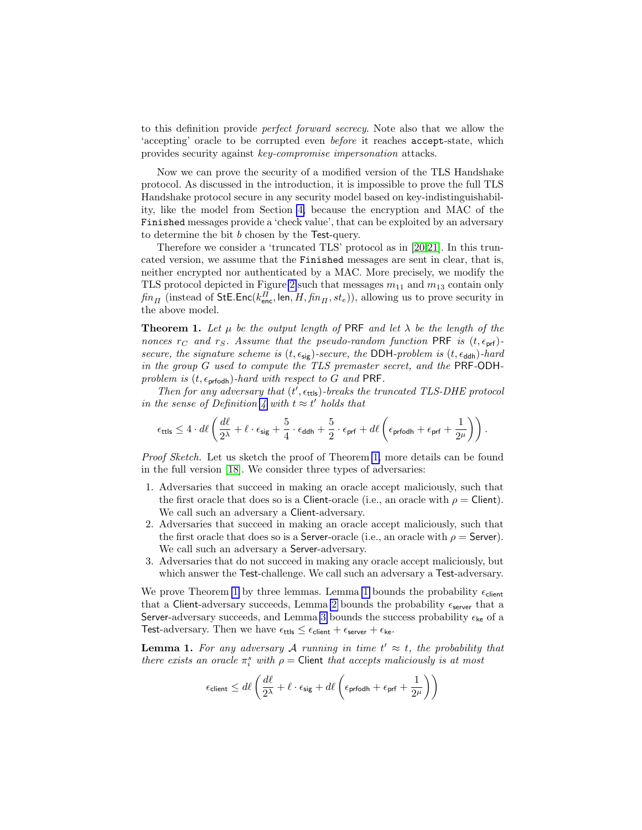to this definition provide perfect forward secrecy. Note also that we allow the 'accepting' oracle to be corrupted even before it reaches accept-state, which provides security against key-compromise impersonation attacks.

Now we can prove the security of a modified version of the TLS Handshake protocol. As discussed in the introduction, it is impossible to prove the full TLS Handshake protocol secure in any security model based on key-indistinguishability, like the model from Section [4,](#page-8-0) because the encryption and MAC of the Finished messages provide a 'check value', that can be exploited by an adversary to determine the bit b chosen by the Test-query.

Therefore we consider a 'truncated TLS' protocol as in [\[20,](#page-20-1)[21\]](#page-20-11). In this truncated version, we assume that the Finished messages are sent in clear, that is, neither encrypted nor authenticated by a MAC. More precisely, we modify the TLS protocol depicted in Figure [2](#page-6-0) such that messages  $m_{11}$  and  $m_{13}$  contain only  $\textit{fin}_{\Pi}$  (instead of StE.Enc( $k_{\text{enc}}^{\Pi}$ , len,  $H, \textit{fin}_{\Pi}, st_e$ )), allowing us to prove security in the above model.

<span id="page-11-0"></span>**Theorem 1.** Let  $\mu$  be the output length of PRF and let  $\lambda$  be the length of the nonces  $r_C$  and  $r_S$ . Assume that the pseudo-random function PRF is  $(t, \epsilon_{\text{prf}})$ secure, the signature scheme is  $(t, \epsilon_{sig})$ -secure, the DDH-problem is  $(t, \epsilon_{ddh})$ -hard in the group G used to compute the TLS premaster secret, and the PRF-ODHproblem is  $(t, \epsilon_{\text{prfodh}})$ -hard with respect to G and PRF.

Then for any adversary that  $(t', \epsilon_{ttls})$ -breaks the truncated TLS-DHE protocol in the sense of Definition [4](#page-10-2) with  $t \approx t'$  holds that

$$
\epsilon_{\text{ttls}} \leq 4 \cdot d\ell \left( \frac{d\ell}{2^\lambda} + \ell \cdot \epsilon_{\text{sig}} + \frac{5}{4} \cdot \epsilon_{\text{ddh}} + \frac{5}{2} \cdot \epsilon_{\text{prf}} + d\ell \left( \epsilon_{\text{prfodh}} + \epsilon_{\text{prf}} + \frac{1}{2^\mu} \right) \right).
$$

Proof Sketch. Let us sketch the proof of Theorem [1,](#page-11-0) more details can be found in the full version [\[18\]](#page-20-0). We consider three types of adversaries:

- 1. Adversaries that succeed in making an oracle accept maliciously, such that the first oracle that does so is a Client-oracle (i.e., an oracle with  $\rho =$  Client). We call such an adversary a Client-adversary.
- 2. Adversaries that succeed in making an oracle accept maliciously, such that the first oracle that does so is a Server-oracle (i.e., an oracle with  $\rho =$  Server). We call such an adversary a Server-adversary.
- 3. Adversaries that do not succeed in making any oracle accept maliciously, but which answer the Test-challenge. We call such an adversary a Test-adversary.

We prove Theorem [1](#page-11-1) by three lemmas. Lemma 1 bounds the probability  $\epsilon_{\text{client}}$ that a Client-adversary succeeds, Lemma [2](#page-12-0) bounds the probability  $\epsilon_{\text{server}}$  that a Server-adversary succeeds, and Lemma [3](#page-13-0) bounds the success probability  $\epsilon_{\text{ke}}$  of a Test-adversary. Then we have  $\epsilon_{\text{ttls}} \leq \epsilon_{\text{client}} + \epsilon_{\text{server}} + \epsilon_{\text{ke}}$ .

<span id="page-11-1"></span>**Lemma 1.** For any adversary A running in time  $t' \approx t$ , the probability that there exists an oracle  $\pi_i^s$  with  $\rho =$  Client that accepts maliciously is at most

$$
\epsilon_{\text{client}} \leq d\ell \left( \frac{d\ell}{2^\lambda} + \ell \cdot \epsilon_{\text{sig}} + d\ell \left( \epsilon_{\text{prfodh}} + \epsilon_{\text{prf}} + \frac{1}{2^\mu} \right) \right)
$$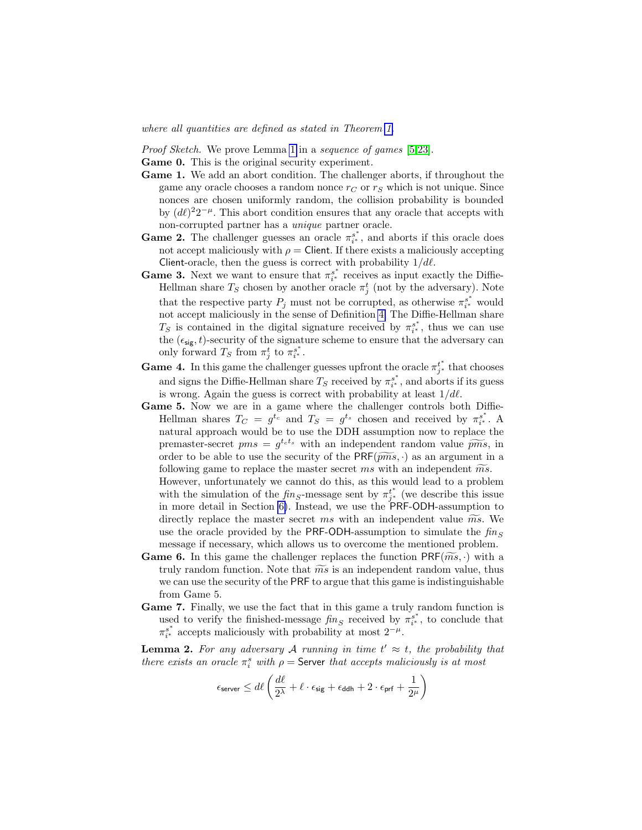where all quantities are defined as stated in Theorem [1.](#page-11-0)

Proof Sketch. We prove Lemma [1](#page-11-1) in a sequence of games [\[5](#page-19-9)[,23\]](#page-20-12).

- Game 0. This is the original security experiment.
- Game 1. We add an abort condition. The challenger aborts, if throughout the game any oracle chooses a random nonce  $r<sub>C</sub>$  or  $r<sub>S</sub>$  which is not unique. Since nonces are chosen uniformly random, the collision probability is bounded by  $(d\ell)^{2}2^{-\mu}$ . This abort condition ensures that any oracle that accepts with non-corrupted partner has a unique partner oracle.
- **Game 2.** The challenger guesses an oracle  $\pi_{i^*}^{s^*}$ , and aborts if this oracle does not accept maliciously with  $\rho =$  Client. If there exists a maliciously accepting Client-oracle, then the guess is correct with probability  $1/d\ell$ .
- **Game 3.** Next we want to ensure that  $\pi_{i^*}^{s^*}$  receives as input exactly the Diffie-Hellman share  $T_S$  chosen by another oracle  $\pi_j^t$  (not by the adversary). Note that the respective party  $P_j$  must not be corrupted, as otherwise  $\pi_{i^*}^{s^*}$  would not accept maliciously in the sense of Definition [4.](#page-10-2) The Diffie-Hellman share  $T_S$  is contained in the digital signature received by  $\pi_{i^*}^{s^*}$ , thus we can use the  $(\epsilon_{\text{sig}}, t)$ -security of the signature scheme to ensure that the adversary can only forward  $T_S$  from  $\pi_j^t$  to  $\pi_{i^*}^{s^*}$ .
- **Game 4.** In this game the challenger guesses upfront the oracle  $\pi_{j^*}^{t^*}$  that chooses and signs the Diffie-Hellman share  $T_S$  received by  $\pi^{s^*}_{i^*}$ , and aborts if its guess is wrong. Again the guess is correct with probability at least  $1/d\ell$ .
- Game 5. Now we are in a game where the challenger controls both Diffie-Hellman shares  $T_C = g^{t_c}$  and  $T_S = g^{t_s}$  chosen and received by  $\pi_{i^*}^{s^*}$ . A natural approach would be to use the DDH assumption now to replace the premaster-secret  $pms = g^{t_c t_s}$  with an independent random value  $\widetilde{pms}$ , in order to be able to use the socurity of the **PRE**  $(\widetilde{pms}e)$  as an argument in a order to be able to use the security of the  $PRF(\widetilde{pms}, \cdot)$  as an argument in a following game to replace the master secret ms with an independent  $\widetilde{ms}$ .

However, unfortunately we cannot do this, as this would lead to a problem with the simulation of the  $\hat{f}_s$ -message sent by  $\pi_{j^*}^{t^*}$  (we describe this issue in more detail in Section [6\)](#page-17-0). Instead, we use the PRF-ODH-assumption to directly replace the master secret ms with an independent value  $\widetilde{ms}$ . We use the oracle provided by the PRF-ODH-assumption to simulate the  $\mathit{fin}_S$ message if necessary, which allows us to overcome the mentioned problem.

- **Game 6.** In this game the challenger replaces the function  $PRF(\widetilde{ms}, \cdot)$  with a truly random function. Note that  $\widetilde{ms}$  is an independent random value, thus we can use the security of the PRF to argue that this game is indistinguishable from Game 5.
- Game 7. Finally, we use the fact that in this game a truly random function is used to verify the finished-message  $\lim_{S}$  received by  $\pi_{i}^{s^*}$ , to conclude that  $\pi_{i^*}^{s^*}$  accepts maliciously with probability at most  $2^{-\mu}$ .

<span id="page-12-0"></span>**Lemma 2.** For any adversary A running in time  $t' \approx t$ , the probability that there exists an oracle  $\pi_i^s$  with  $\rho =$  Server that accepts maliciously is at most

$$
\epsilon_{\text{server}} \leq d\ell \left( \frac{d\ell}{2^{\lambda}} + \ell \cdot \epsilon_{\text{sig}} + \epsilon_{\text{ddh}} + 2 \cdot \epsilon_{\text{prf}} + \frac{1}{2^{\mu}} \right)
$$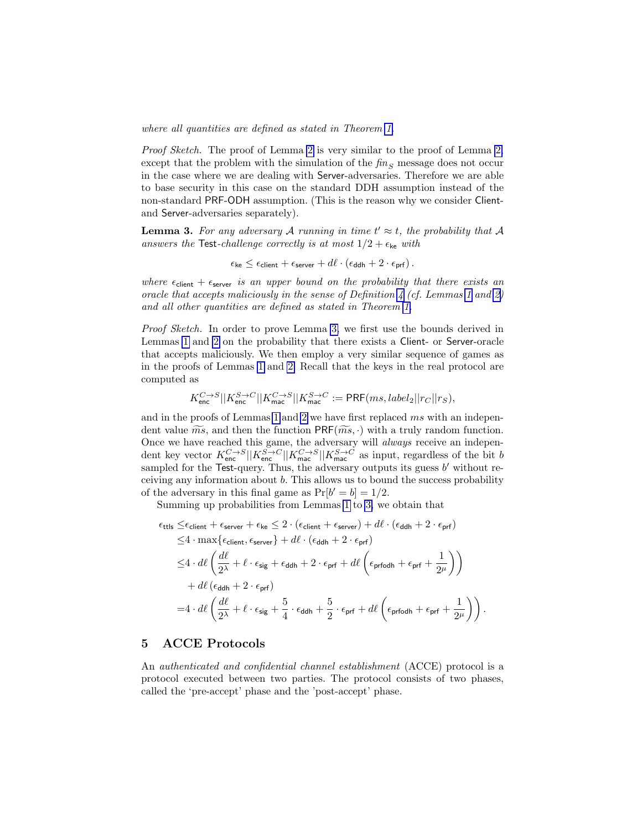where all quantities are defined as stated in Theorem [1.](#page-11-0)

Proof Sketch. The proof of Lemma [2](#page-12-0) is very similar to the proof of Lemma [2,](#page-12-0) except that the problem with the simulation of the  $\ln_{S}$  message does not occur in the case where we are dealing with Server-adversaries. Therefore we are able to base security in this case on the standard DDH assumption instead of the non-standard PRF-ODH assumption. (This is the reason why we consider Clientand Server-adversaries separately).

<span id="page-13-0"></span>**Lemma 3.** For any adversary A running in time  $t' \approx t$ , the probability that A answers the Test-challenge correctly is at most  $1/2 + \epsilon_{\text{ke}}$  with

$$
\epsilon_{\mathsf{ke}} \leq \epsilon_{\mathsf{client}} + \epsilon_{\mathsf{server}} + d\ell \cdot (\epsilon_{\mathsf{ddh}} + 2 \cdot \epsilon_{\mathsf{prf}}).
$$

where  $\epsilon_{\text{client}} + \epsilon_{\text{server}}$  is an upper bound on the probability that there exists an oracle that accepts maliciously in the sense of Definition  $\frac{1}{4}$  (cf. Lemmas [1](#page-11-1) and [2\)](#page-12-0) and all other quantities are defined as stated in Theorem [1.](#page-11-0)

Proof Sketch. In order to prove Lemma [3,](#page-13-0) we first use the bounds derived in Lemmas [1](#page-11-1) and [2](#page-12-0) on the probability that there exists a Client- or Server-oracle that accepts maliciously. We then employ a very similar sequence of games as in the proofs of Lemmas [1](#page-11-1) and [2.](#page-12-0) Recall that the keys in the real protocol are computed as

$$
K_{\text{enc}}^{C \rightarrow S}||K_{\text{enc}}^{S \rightarrow C}||K_{\text{mac}}^{C \rightarrow S}||K_{\text{mac}}^{S \rightarrow C} := \text{PRF}(ms, label_2||r_C||r_S),
$$

and in the proofs of Lemmas [1](#page-11-1) and [2](#page-12-0) we have first replaced ms with an independent value  $\widetilde{ms}$ , and then the function  $PRF(\widetilde{ms}, \cdot)$  with a truly random function. Once we have reached this game, the adversary will *always* receive an independent key vector  $K_{\text{enc}}^{C \to S} || K_{\text{enc}}^{S \to C} || K_{\text{mac}}^{C \to S} || K_{\text{mac}}^{S \to C}$  as input, regardless of the bit b sampled for the Test-query. Thus, the adversary outputs its guess  $b'$  without receiving any information about b. This allows us to bound the success probability of the adversary in this final game as  $Pr[b' = b] = 1/2$ .

Summing up probabilities from Lemmas [1](#page-11-1) to [3,](#page-13-0) we obtain that

$$
\epsilon_{\text{ttls}} \leq \epsilon_{\text{client}} + \epsilon_{\text{server}} + \epsilon_{\text{ke}} \leq 2 \cdot (\epsilon_{\text{client}} + \epsilon_{\text{server}}) + d\ell \cdot (\epsilon_{\text{ddh}} + 2 \cdot \epsilon_{\text{prf}})
$$
\n
$$
\leq 4 \cdot \max \{ \epsilon_{\text{client}}, \epsilon_{\text{server}} \} + d\ell \cdot (\epsilon_{\text{ddh}} + 2 \cdot \epsilon_{\text{prf}})
$$
\n
$$
\leq 4 \cdot d\ell \left( \frac{d\ell}{2^{\lambda}} + \ell \cdot \epsilon_{\text{sig}} + \epsilon_{\text{ddh}} + 2 \cdot \epsilon_{\text{prf}} + d\ell \left( \epsilon_{\text{prfodh}} + \epsilon_{\text{prf}} + \frac{1}{2^{\mu}} \right) \right)
$$
\n
$$
+ d\ell \left( \epsilon_{\text{ddh}} + 2 \cdot \epsilon_{\text{prf}} \right)
$$
\n
$$
= 4 \cdot d\ell \left( \frac{d\ell}{2^{\lambda}} + \ell \cdot \epsilon_{\text{sig}} + \frac{5}{4} \cdot \epsilon_{\text{ddh}} + \frac{5}{2} \cdot \epsilon_{\text{prf}} + d\ell \left( \epsilon_{\text{prfodh}} + \epsilon_{\text{prf}} + \frac{1}{2^{\mu}} \right) \right).
$$

### 5 ACCE Protocols

An authenticated and confidential channel establishment (ACCE) protocol is a protocol executed between two parties. The protocol consists of two phases, called the 'pre-accept' phase and the 'post-accept' phase.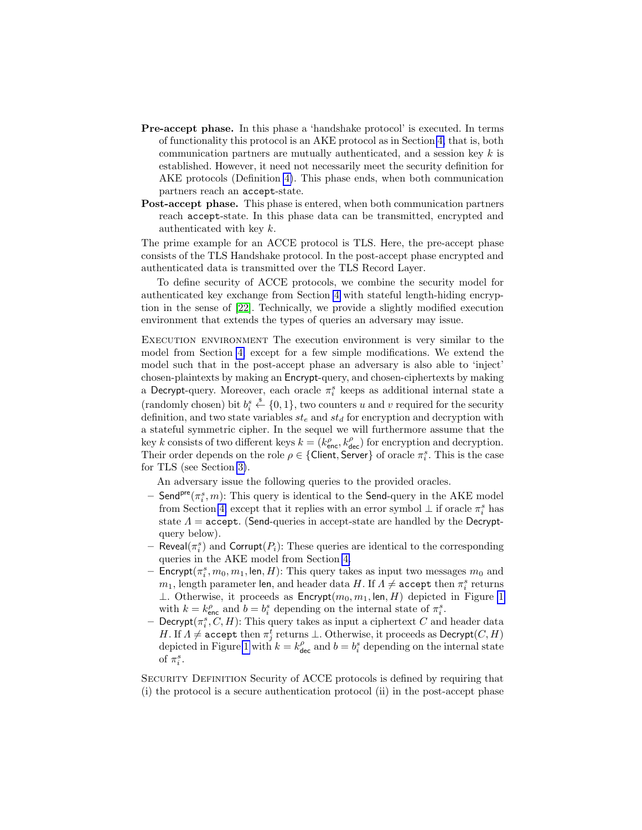- Pre-accept phase. In this phase a 'handshake protocol' is executed. In terms of functionality this protocol is an AKE protocol as in Section [4,](#page-8-0) that is, both communication partners are mutually authenticated, and a session key  $k$  is established. However, it need not necessarily meet the security definition for AKE protocols (Definition [4\)](#page-10-2). This phase ends, when both communication partners reach an accept-state.
- Post-accept phase. This phase is entered, when both communication partners reach accept-state. In this phase data can be transmitted, encrypted and authenticated with key k.

The prime example for an ACCE protocol is TLS. Here, the pre-accept phase consists of the TLS Handshake protocol. In the post-accept phase encrypted and authenticated data is transmitted over the TLS Record Layer.

To define security of ACCE protocols, we combine the security model for authenticated key exchange from Section [4](#page-8-0) with stateful length-hiding encryption in the sense of [\[22\]](#page-20-2). Technically, we provide a slightly modified execution environment that extends the types of queries an adversary may issue.

Execution environment The execution environment is very similar to the model from Section [4,](#page-8-0) except for a few simple modifications. We extend the model such that in the post-accept phase an adversary is also able to 'inject' chosen-plaintexts by making an Encrypt-query, and chosen-ciphertexts by making a Decrypt-query. Moreover, each oracle  $\pi_i^s$  keeps as additional internal state a (randomly chosen) bit  $b_i^s \stackrel{\$}{\leftarrow} \{0,1\}$ , two counters u and v required for the security definition, and two state variables  $st_e$  and  $st_d$  for encryption and decryption with a stateful symmetric cipher. In the sequel we will furthermore assume that the key k consists of two different keys  $k = (k_{\text{enc}}^{\rho}, k_{\text{dec}}^{\rho})$  for encryption and decryption. Their order depends on the role  $\rho \in \{\text{Client, Server}\}\$  of oracle  $\pi_i^s$ . This is the case for TLS (see Section [3\)](#page-5-1).

An adversary issue the following queries to the provided oracles.

- Send<sup>pre</sup>( $\pi_i^s$ , *m*): This query is identical to the Send-query in the AKE model from Section [4,](#page-8-0) except that it replies with an error symbol  $\perp$  if oracle  $\pi_i^s$  has state  $\Lambda$  = accept. (Send-queries in accept-state are handled by the Decryptquery below).
- $-$  Reveal( $\pi_i^s$ ) and Corrupt( $P_i$ ): These queries are identical to the corresponding queries in the AKE model from Section [4.](#page-8-0)
- Encrypt $(\pi_i^s, m_0, m_1, \text{len}, H)$ : This query takes as input two messages  $m_0$  and  $m_1,$  length parameter len, and header data  $H.$  If  $\Lambda \neq {\sf accept}$  then  $\pi_i^s$  returns ⊥. Otherwise, it proceeds as  $\mathsf{Encrypt}(m_0, m_1, \mathsf{len}, H)$  depicted in Figure [1](#page-5-0) with  $k = k_{\text{enc}}^{\rho}$  and  $b = b_i^s$  depending on the internal state of  $\pi_i^s$ .
- Decrypt $(\pi_i^s, C, H)$ : This query takes as input a ciphertext C and header data H. If  $\Lambda \neq {\sf accept}$  then  $\pi_j^t$  returns  $\bot.$  Otherwise, it proceeds as  ${\sf Decrypt}(C,H)$ depicted in Figure [1](#page-5-0) with  $k = k_{\text{dec}}^{\rho}$  and  $b = b_i^s$  depending on the internal state of  $\pi_i^s$ .

SECURITY DEFINITION Security of ACCE protocols is defined by requiring that (i) the protocol is a secure authentication protocol (ii) in the post-accept phase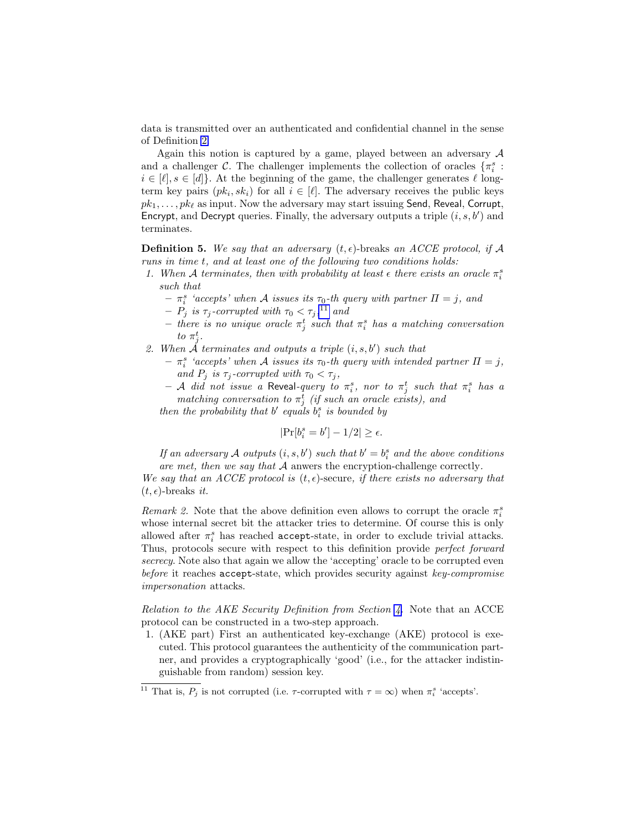data is transmitted over an authenticated and confidential channel in the sense of Definition [2.](#page-5-2)

Again this notion is captured by a game, played between an adversary  $A$ and a challenger  $\mathcal{C}$ . The challenger implements the collection of oracles  $\{\pi_i^s:$  $i \in [\ell], s \in [d]$ . At the beginning of the game, the challenger generates  $\ell$  longterm key pairs  $(pk_i, sk_i)$  for all  $i \in [\ell]$ . The adversary receives the public keys  $pk_1, \ldots, pk_\ell$  as input. Now the adversary may start issuing Send, Reveal, Corrupt, Encrypt, and Decrypt queries. Finally, the adversary outputs a triple  $(i, s, b')$  and terminates.

<span id="page-15-1"></span>**Definition 5.** We say that an adversary  $(t, \epsilon)$ -breaks an ACCE protocol, if A runs in time t, and at least one of the following two conditions holds:

- 1. When A terminates, then with probability at least  $\epsilon$  there exists an oracle  $\pi_i^s$ such that
	- $-\pi_i^s$  'accepts' when A issues its  $\tau_0$ -th query with partner  $\Pi = j$ , and
	- $P_j$  is  $\tau_j$ -corrupted with  $\tau_0 < \tau_j$ ,<sup>[11](#page-15-0)</sup> and
	- $-$  there is no unique oracle  $\pi_j^t$  such that  $\pi_i^s$  has a matching conversation to  $\pi_j^t$ .
- 2. When  $\AA$  terminates and outputs a triple  $(i, s, b')$  such that
	- $-\pi_i^s$  'accepts' when A issues its  $\tau_0$ -th query with intended partner  $\Pi = j$ , and  $P_j$  is  $\tau_j$ -corrupted with  $\tau_0 < \tau_j$ ,
	- $-$  A did not issue a Reveal-query to  $\pi_i^s$ , nor to  $\pi_j^t$  such that  $\pi_i^s$  has a matching conversation to  $\pi_j^t$  (if such an oracle exists), and

then the probability that b' equals  $b_i^s$  is bounded by

$$
|\Pr[b_i^s = b'] - 1/2| \ge \epsilon.
$$

If an adversary A outputs  $(i, s, b')$  such that  $b' = b_i^s$  and the above conditions are met, then we say that A anwers the encryption-challenge correctly.

We say that an ACCE protocol is  $(t, \epsilon)$ -secure, if there exists no adversary that  $(t, \epsilon)$ -breaks it.

Remark 2. Note that the above definition even allows to corrupt the oracle  $\pi_i^s$ whose internal secret bit the attacker tries to determine. Of course this is only allowed after  $\pi_i^s$  has reached accept-state, in order to exclude trivial attacks. Thus, protocols secure with respect to this definition provide perfect forward secrecy. Note also that again we allow the 'accepting' oracle to be corrupted even before it reaches accept-state, which provides security against key-compromise impersonation attacks.

Relation to the AKE Security Definition from Section [4.](#page-8-0) Note that an ACCE protocol can be constructed in a two-step approach.

1. (AKE part) First an authenticated key-exchange (AKE) protocol is executed. This protocol guarantees the authenticity of the communication partner, and provides a cryptographically 'good' (i.e., for the attacker indistinguishable from random) session key.

<span id="page-15-0"></span><sup>&</sup>lt;sup>11</sup> That is,  $P_j$  is not corrupted (i.e.  $\tau$ -corrupted with  $\tau = \infty$ ) when  $\pi_i^s$  'accepts'.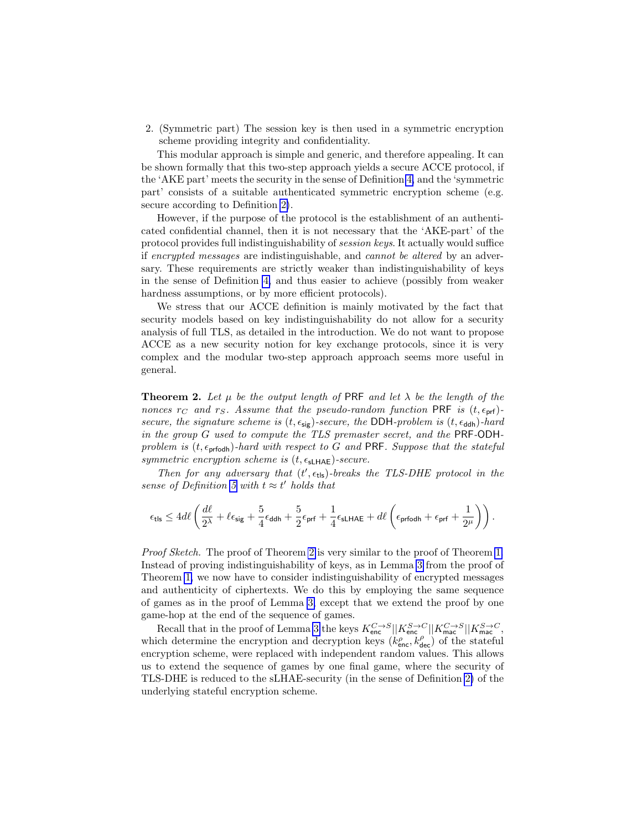2. (Symmetric part) The session key is then used in a symmetric encryption scheme providing integrity and confidentiality.

This modular approach is simple and generic, and therefore appealing. It can be shown formally that this two-step approach yields a secure ACCE protocol, if the 'AKE part' meets the security in the sense of Definition [4,](#page-10-2) and the 'symmetric part' consists of a suitable authenticated symmetric encryption scheme (e.g. secure according to Definition [2\)](#page-5-2).

However, if the purpose of the protocol is the establishment of an authenticated confidential channel, then it is not necessary that the 'AKE-part' of the protocol provides full indistinguishability of session keys. It actually would suffice if encrypted messages are indistinguishable, and cannot be altered by an adversary. These requirements are strictly weaker than indistinguishability of keys in the sense of Definition [4,](#page-10-2) and thus easier to achieve (possibly from weaker hardness assumptions, or by more efficient protocols).

We stress that our ACCE definition is mainly motivated by the fact that security models based on key indistinguishability do not allow for a security analysis of full TLS, as detailed in the introduction. We do not want to propose ACCE as a new security notion for key exchange protocols, since it is very complex and the modular two-step approach approach seems more useful in general.

<span id="page-16-0"></span>**Theorem 2.** Let  $\mu$  be the output length of PRF and let  $\lambda$  be the length of the nonces  $r_C$  and  $r_S$ . Assume that the pseudo-random function PRF is  $(t, \epsilon_{\text{prf}})$ secure, the signature scheme is  $(t, \epsilon_{sig})$ -secure, the DDH-problem is  $(t, \epsilon_{ddh})$ -hard in the group G used to compute the TLS premaster secret, and the PRF-ODHproblem is  $(t, \epsilon_{\text{prfodh}})$ -hard with respect to G and PRF. Suppose that the stateful symmetric encryption scheme is  $(t, \epsilon_{\text{sLHAE}})$ -secure.

Then for any adversary that  $(t', \epsilon_{\text{tls}})$ -breaks the TLS-DHE protocol in the sense of Definition [5](#page-15-1) with  $t \approx t'$  holds that

$$
\epsilon_{\mathrm{tls}} \leq 4d\ell \left( \frac{d\ell}{2^\lambda} + \ell \epsilon_{\mathrm{sig}} + \frac{5}{4} \epsilon_{\mathrm{ddh}} + \frac{5}{2} \epsilon_{\mathrm{prf}} + \frac{1}{4} \epsilon_{\mathrm{sLHAE}} + d\ell \left( \epsilon_{\mathrm{prfodh}} + \epsilon_{\mathrm{prf}} + \frac{1}{2^\mu} \right) \right).
$$

Proof Sketch. The proof of Theorem [2](#page-16-0) is very similar to the proof of Theorem [1.](#page-11-0) Instead of proving indistinguishability of keys, as in Lemma [3](#page-13-0) from the proof of Theorem [1,](#page-11-0) we now have to consider indistinguishability of encrypted messages and authenticity of ciphertexts. We do this by employing the same sequence of games as in the proof of Lemma [3,](#page-13-0) except that we extend the proof by one game-hop at the end of the sequence of games.

Recall that in the proof of Lemma [3](#page-13-0) the keys  $K_{\text{enc}}^{C \to S} || K_{\text{enc}}^{S \to C} || K_{\text{mac}}^{C \to S} || K_{\text{mac}}^{S \to C}$ , which determine the encryption and decryption keys  $(k_{\text{enc}}^{\rho}, k_{\text{dec}}^{\rho})$  of the stateful encryption scheme, were replaced with independent random values. This allows us to extend the sequence of games by one final game, where the security of TLS-DHE is reduced to the sLHAE-security (in the sense of Definition [2\)](#page-5-2) of the underlying stateful encryption scheme.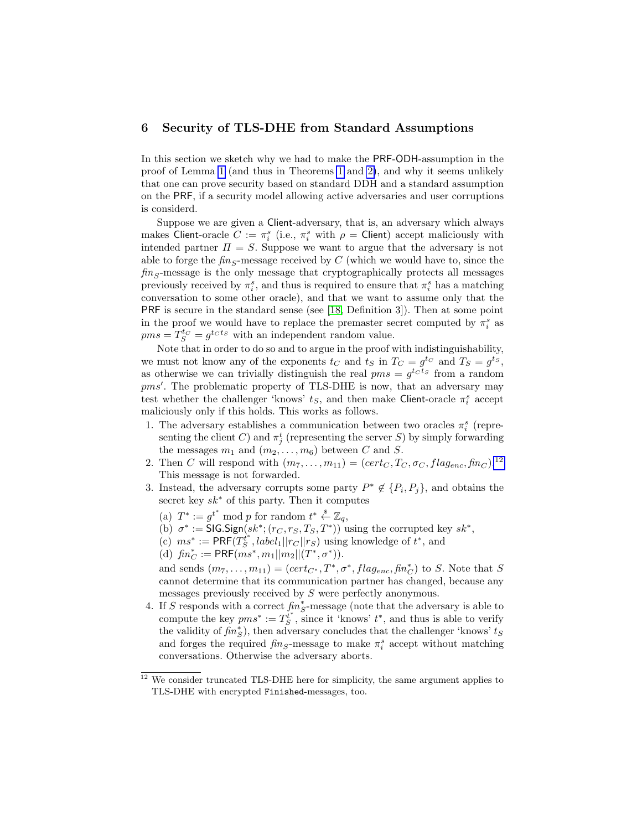# <span id="page-17-0"></span>6 Security of TLS-DHE from Standard Assumptions

In this section we sketch why we had to make the PRF-ODH-assumption in the proof of Lemma [1](#page-11-1) (and thus in Theorems [1](#page-11-0) and [2\)](#page-16-0), and why it seems unlikely that one can prove security based on standard DDH and a standard assumption on the PRF, if a security model allowing active adversaries and user corruptions is considerd.

Suppose we are given a Client-adversary, that is, an adversary which always makes Client-oracle  $C := \pi_i^s$  (i.e.,  $\pi_i^s$  with  $\rho =$  Client) accept maliciously with intended partner  $\Pi = S$ . Suppose we want to argue that the adversary is not able to forge the  $\beta n_{\rm s}$ -message received by C (which we would have to, since the  $f\hat{n}_S$ -message is the only message that cryptographically protects all messages previously received by  $\pi_i^s$ , and thus is required to ensure that  $\pi_i^s$  has a matching conversation to some other oracle), and that we want to assume only that the PRF is secure in the standard sense (see [\[18,](#page-20-0) Definition 3]). Then at some point in the proof we would have to replace the premaster secret computed by  $\pi_i^s$  as  $pms = T_S^{tc} = g^{t_Cts}$  with an independent random value.

Note that in order to do so and to argue in the proof with indistinguishability, we must not know any of the exponents  $t_C$  and  $t_S$  in  $T_C = g^{t_C}$  and  $T_S = g^{t_S}$ , as otherwise we can trivially distinguish the real  $pms = g^{t_cts}$  from a random pms'. The problematic property of TLS-DHE is now, that an adversary may test whether the challenger 'knows'  $t_S$ , and then make Client-oracle  $\pi_i^s$  accept maliciously only if this holds. This works as follows.

- 1. The adversary establishes a communication between two oracles  $\pi_i^s$  (representing the client C) and  $\pi_j^t$  (representing the server S) by simply forwarding the messages  $m_1$  and  $(m_2, \ldots, m_6)$  between C and S.
- 2. Then C will respond with  $(m_7, \ldots, m_{11}) = (cert_C, T_C, \sigma_C, flag_{enc}, fin_C).^{12}$  $(m_7, \ldots, m_{11}) = (cert_C, T_C, \sigma_C, flag_{enc}, fin_C).^{12}$  $(m_7, \ldots, m_{11}) = (cert_C, T_C, \sigma_C, flag_{enc}, fin_C).^{12}$ This message is not forwarded.
- 3. Instead, the adversary corrupts some party  $P^* \notin \{P_i, P_j\}$ , and obtains the secret key  $sk^*$  of this party. Then it computes
	- (a)  $T^* := g^{t^*} \mod p$  for random  $t^* \stackrel{\$}{\leftarrow} \mathbb{Z}_q$ ,
	- (b)  $\sigma^* := \mathsf{SIG}.Sign(sk^*; (r_C, r_S, T_S, T^*))$  using the corrupted key  $sk^*$ ,
	- (c)  $ms^* := \text{PRF}(T_S^{t^*}, label_1 || r_C || r_S)$  using knowledge of  $t^*$ , and
	- (d)  $\text{fin}_C^* := \mathsf{PRF}(\text{ms}^*, \text{m}_1 || \text{m}_2 || (T^*, \sigma^*)).$

and sends  $(m_7, \ldots, m_{11}) = (cert_{C^*}, T^*, \sigma^*, flag_{enc}, fin_C^*)$  to S. Note that S cannot determine that its communication partner has changed, because any messages previously received by S were perfectly anonymous.

4. If S responds with a correct  $\lim_{S} \frac{1}{S}$  message (note that the adversary is able to compute the key  $pms^* := T_S^{t^*}$ , since it 'knows'  $t^*$ , and thus is able to verify the validity of  $\hat{f}_s$ , then adversary concludes that the challenger 'knows'  $t_s$ and forges the required  $\mathit{fin}_S$ -message to make  $\pi_i^s$  accept without matching conversations. Otherwise the adversary aborts.

<span id="page-17-1"></span> $12$  We consider truncated TLS-DHE here for simplicity, the same argument applies to TLS-DHE with encrypted Finished-messages, too.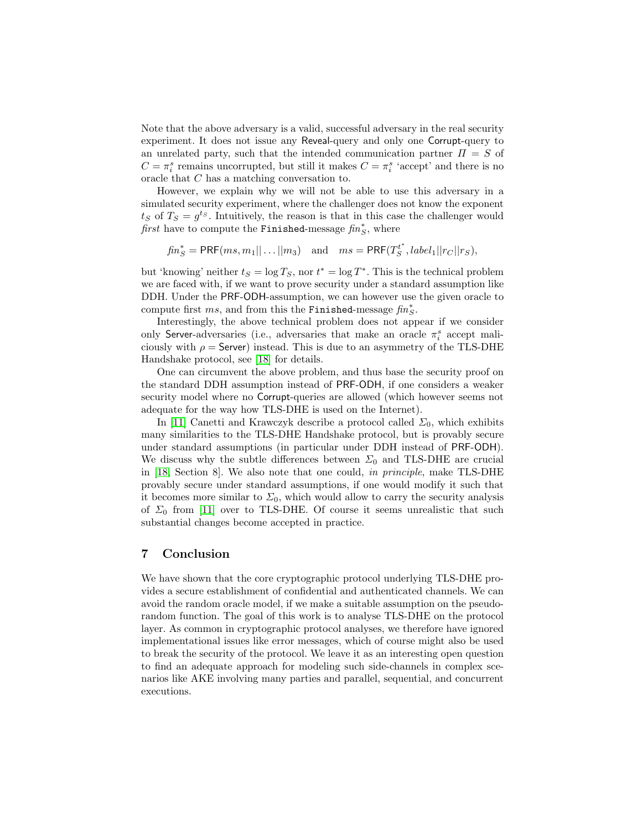Note that the above adversary is a valid, successful adversary in the real security experiment. It does not issue any Reveal-query and only one Corrupt-query to an unrelated party, such that the intended communication partner  $\Pi = S$  of  $C = \pi_i^s$  remains uncorrupted, but still it makes  $C = \pi_i^s$  'accept' and there is no oracle that C has a matching conversation to.

However, we explain why we will not be able to use this adversary in a simulated security experiment, where the challenger does not know the exponent  $t_S$  of  $T_S = g^{ts}$ . Intuitively, the reason is that in this case the challenger would first have to compute the Finished-message  $\textit{fin}_{S}^*$ , where

$$
fn_S^* = \mathsf{PRF}(ms, m_1 || \dots || m_3) \quad \text{and} \quad ms = \mathsf{PRF}(T_S^{t^*}, label_1 || r_C || r_S),
$$

but 'knowing' neither  $t_S = \log T_S$ , nor  $t^* = \log T^*$ . This is the technical problem we are faced with, if we want to prove security under a standard assumption like DDH. Under the PRF-ODH-assumption, we can however use the given oracle to compute first  $ms$ , and from this the Finished-message  $fin^*_{S}$ .

Interestingly, the above technical problem does not appear if we consider only Server-adversaries (i.e., adversaries that make an oracle  $\pi_i^s$  accept maliciously with  $\rho =$  Server) instead. This is due to an asymmetry of the TLS-DHE Handshake protocol, see [\[18\]](#page-20-0) for details.

One can circumvent the above problem, and thus base the security proof on the standard DDH assumption instead of PRF-ODH, if one considers a weaker security model where no Corrupt-queries are allowed (which however seems not adequate for the way how TLS-DHE is used on the Internet).

In [\[11\]](#page-20-13) Canetti and Krawczyk describe a protocol called  $\Sigma_0$ , which exhibits many similarities to the TLS-DHE Handshake protocol, but is provably secure under standard assumptions (in particular under DDH instead of PRF-ODH). We discuss why the subtle differences between  $\Sigma_0$  and TLS-DHE are crucial in [\[18,](#page-20-0) Section 8]. We also note that one could, in principle, make TLS-DHE provably secure under standard assumptions, if one would modify it such that it becomes more similar to  $\Sigma_0$ , which would allow to carry the security analysis of  $\Sigma_0$  from [\[11\]](#page-20-13) over to TLS-DHE. Of course it seems unrealistic that such substantial changes become accepted in practice.

## 7 Conclusion

We have shown that the core cryptographic protocol underlying TLS-DHE provides a secure establishment of confidential and authenticated channels. We can avoid the random oracle model, if we make a suitable assumption on the pseudorandom function. The goal of this work is to analyse TLS-DHE on the protocol layer. As common in cryptographic protocol analyses, we therefore have ignored implementational issues like error messages, which of course might also be used to break the security of the protocol. We leave it as an interesting open question to find an adequate approach for modeling such side-channels in complex scenarios like AKE involving many parties and parallel, sequential, and concurrent executions.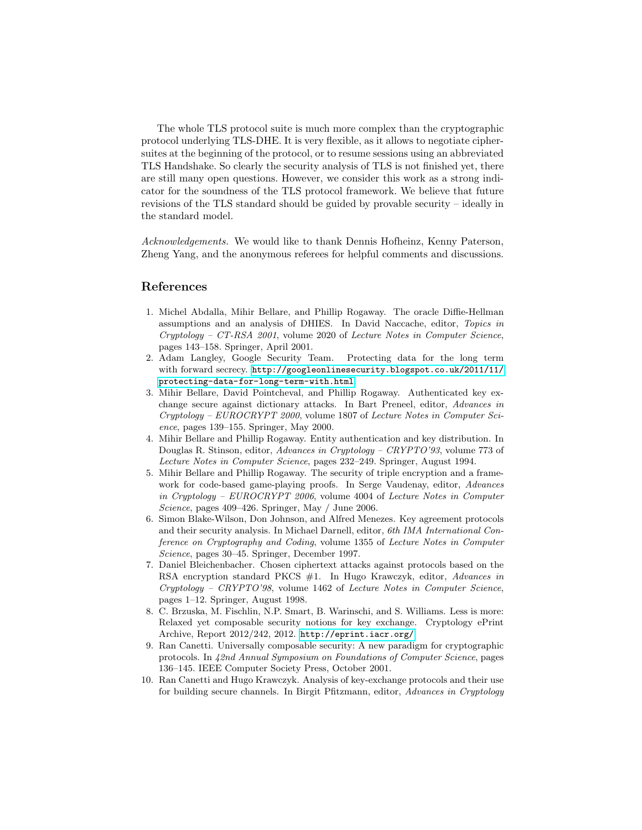The whole TLS protocol suite is much more complex than the cryptographic protocol underlying TLS-DHE. It is very flexible, as it allows to negotiate ciphersuites at the beginning of the protocol, or to resume sessions using an abbreviated TLS Handshake. So clearly the security analysis of TLS is not finished yet, there are still many open questions. However, we consider this work as a strong indicator for the soundness of the TLS protocol framework. We believe that future revisions of the TLS standard should be guided by provable security – ideally in the standard model.

Acknowledgements. We would like to thank Dennis Hofheinz, Kenny Paterson, Zheng Yang, and the anonymous referees for helpful comments and discussions.

## References

- <span id="page-19-4"></span>1. Michel Abdalla, Mihir Bellare, and Phillip Rogaway. The oracle Diffie-Hellman assumptions and an analysis of DHIES. In David Naccache, editor, Topics in  $Cryptology - CT-RSA 2001$ , volume 2020 of Lecture Notes in Computer Science, pages 143–158. Springer, April 2001.
- <span id="page-19-5"></span>2. Adam Langley, Google Security Team. Protecting data for the long term with forward secrecy. [http://googleonlinesecurity.blogspot.co.uk/2011/11/](http://googleonlinesecurity.blogspot.co.uk/2011/11/protecting-data-for-long-term-with.html) [protecting-data-for-long-term-with.html](http://googleonlinesecurity.blogspot.co.uk/2011/11/protecting-data-for-long-term-with.html).
- <span id="page-19-8"></span>3. Mihir Bellare, David Pointcheval, and Phillip Rogaway. Authenticated key exchange secure against dictionary attacks. In Bart Preneel, editor, Advances in Cryptology – EUROCRYPT 2000, volume 1807 of Lecture Notes in Computer Science, pages 139–155. Springer, May 2000.
- <span id="page-19-0"></span>4. Mihir Bellare and Phillip Rogaway. Entity authentication and key distribution. In Douglas R. Stinson, editor, Advances in Cryptology – CRYPTO'93, volume 773 of Lecture Notes in Computer Science, pages 232–249. Springer, August 1994.
- <span id="page-19-9"></span>5. Mihir Bellare and Phillip Rogaway. The security of triple encryption and a framework for code-based game-playing proofs. In Serge Vaudenay, editor, Advances in Cryptology – EUROCRYPT 2006, volume 4004 of Lecture Notes in Computer Science, pages 409–426. Springer, May / June 2006.
- <span id="page-19-3"></span>6. Simon Blake-Wilson, Don Johnson, and Alfred Menezes. Key agreement protocols and their security analysis. In Michael Darnell, editor, 6th IMA International Conference on Cryptography and Coding, volume 1355 of Lecture Notes in Computer Science, pages 30–45. Springer, December 1997.
- <span id="page-19-6"></span>7. Daniel Bleichenbacher. Chosen ciphertext attacks against protocols based on the RSA encryption standard PKCS #1. In Hugo Krawczyk, editor, Advances in Cryptology – CRYPTO'98, volume 1462 of Lecture Notes in Computer Science, pages 1–12. Springer, August 1998.
- <span id="page-19-7"></span>8. C. Brzuska, M. Fischlin, N.P. Smart, B. Warinschi, and S. Williams. Less is more: Relaxed yet composable security notions for key exchange. Cryptology ePrint Archive, Report 2012/242, 2012. <http://eprint.iacr.org/>.
- <span id="page-19-2"></span>9. Ran Canetti. Universally composable security: A new paradigm for cryptographic protocols. In 42nd Annual Symposium on Foundations of Computer Science, pages 136–145. IEEE Computer Society Press, October 2001.
- <span id="page-19-1"></span>10. Ran Canetti and Hugo Krawczyk. Analysis of key-exchange protocols and their use for building secure channels. In Birgit Pfitzmann, editor, Advances in Cryptology